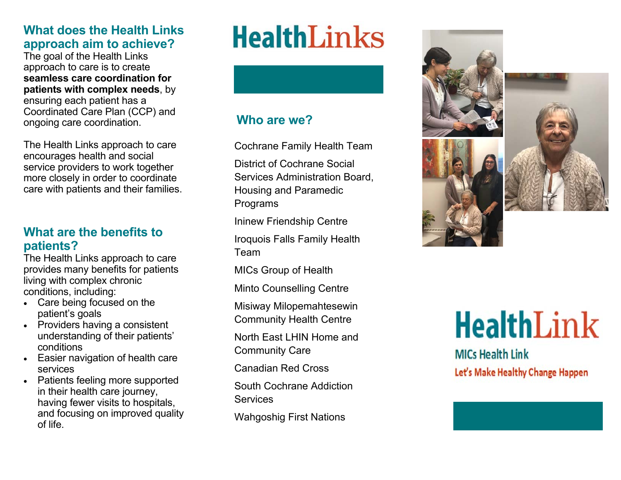# **What does the Health Links approach aim to achieve?**

The goal of the Health Links approach to care is to create **seamless care coordination for patients with complex needs**, by ensuring each patient has a Coordinated Care Plan (CCP) and ongoing care coordination.

The Health Links approach to care encourages health and social service providers to work together more closely in order to coordinate care with patients and their families.

# **What are the benefits to patients?**

The Health Links approach to care provides many benefits for patients living with complex chronic conditions, including:

- Care being focused on the patient's goals
- Providers having a consistent understanding of their patients' conditions
- Easier navigation of health care services
- Patients feeling more supported in their health care journey, having fewer visits to hospitals, and focusing on improved quality of life.

# **HealthLinks**

# **Who are we?**

Cochrane Family Health Team

District of Cochrane Social Services Administration Board, Housing and Paramedic Programs

Ininew Friendship Centre

Iroquois Falls Family Health Team

MICs Group of Health

Minto Counselling Centre

Misiway Milopemahtesewin Community Health Centre

North East LHIN Home and Community Care

Canadian Red Cross

South Cochrane Addiction **Services** 

Wahgoshig First Nations



# **HealthLink**

**MICs Health Link** Let's Make Healthy Change Happen